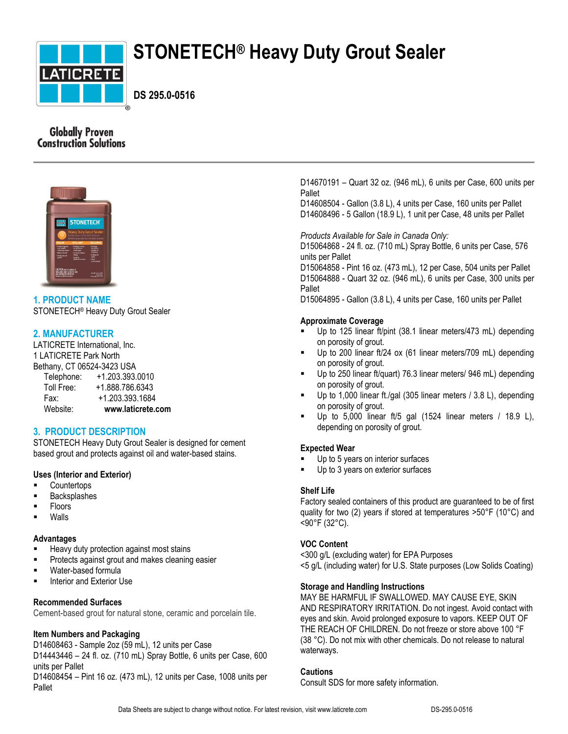

# **STONETECH® Heavy Duty Grout Sealer**

**DS 295.0-0516**

# **Globally Proven Construction Solutions**



# **1. PRODUCT NAME**

STONETECH® Heavy Duty Grout Sealer

# **2. MANUFACTURER**

LATICRETE International, Inc. 1 LATICRETE Park North Bethany, CT 06524-3423 USA

| Telephone: | +1.203.393.0010   |
|------------|-------------------|
| Toll Free: | +1.888.786.6343   |
| Fax:       | +1.203.393.1684   |
| Website:   | www.laticrete.com |

# **3. PRODUCT DESCRIPTION**

STONETECH Heavy Duty Grout Sealer is designed for cement based grout and protects against oil and water-based stains.

## **Uses (Interior and Exterior)**

- **Countertops**
- **Backsplashes**
- Floors
- Walls

#### **Advantages**

- Heavy duty protection against most stains
- Protects against grout and makes cleaning easier
- Water-based formula
- Interior and Exterior Use

## **Recommended Surfaces**

Cement-based grout for natural stone, ceramic and porcelain tile.

#### **Item Numbers and Packaging**

D14608463 - Sample 2oz (59 mL), 12 units per Case D14443446 – 24 fl. oz. (710 mL) Spray Bottle, 6 units per Case, 600 units per Pallet

D14608454 – Pint 16 oz. (473 mL), 12 units per Case, 1008 units per Pallet

D14670191 – Quart 32 oz. (946 mL), 6 units per Case, 600 units per Pallet

D14608504 - Gallon (3.8 L), 4 units per Case, 160 units per Pallet D14608496 - 5 Gallon (18.9 L), 1 unit per Case, 48 units per Pallet

*Products Available for Sale in Canada Only:*

D15064868 - 24 fl. oz. (710 mL) Spray Bottle, 6 units per Case, 576 units per Pallet

D15064858 - Pint 16 oz. (473 mL), 12 per Case, 504 units per Pallet D15064888 - Quart 32 oz. (946 mL), 6 units per Case, 300 units per Pallet

D15064895 - Gallon (3.8 L), 4 units per Case, 160 units per Pallet

#### **Approximate Coverage**

- Up to 125 linear ft/pint (38.1 linear meters/473 mL) depending on porosity of grout.
- Up to 200 linear ft/24 ox (61 linear meters/709 mL) depending on porosity of grout.
- Up to 250 linear ft/quart) 76.3 linear meters/ 946 mL) depending on porosity of grout.
- Up to 1,000 linear ft./gal (305 linear meters / 3.8 L), depending on porosity of grout.
- Up to 5,000 linear ft/5 gal (1524 linear meters / 18.9 L), depending on porosity of grout.

#### **Expected Wear**

- Up to 5 years on interior surfaces
- Up to 3 years on exterior surfaces

#### **Shelf Life**

Factory sealed containers of this product are guaranteed to be of first quality for two (2) years if stored at temperatures >50°F (10°C) and <90°F (32°C).

## **VOC Content**

<300 g/L (excluding water) for EPA Purposes <5 g/L (including water) for U.S. State purposes (Low Solids Coating)

## **Storage and Handling Instructions**

MAY BE HARMFUL IF SWALLOWED. MAY CAUSE EYE, SKIN AND RESPIRATORY IRRITATION. Do not ingest. Avoid contact with eyes and skin. Avoid prolonged exposure to vapors. KEEP OUT OF THE REACH OF CHILDREN. Do not freeze or store above 100 °F (38 °C). Do not mix with other chemicals. Do not release to natural waterways.

#### **Cautions**

Consult SDS for more safety information.